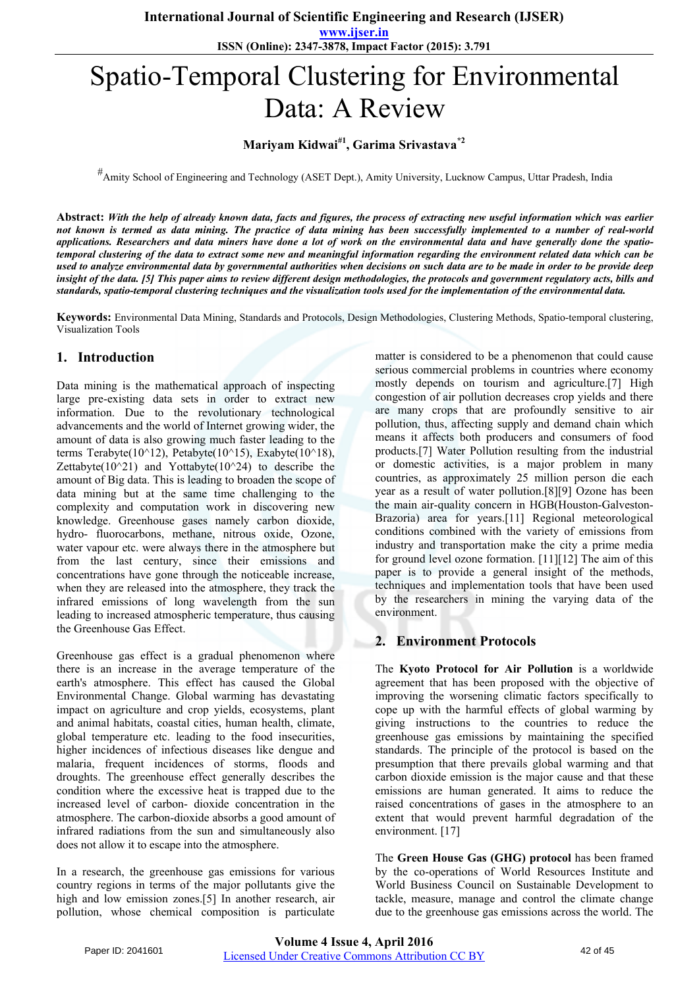**www.ijser.in ISSN (Online): 2347-3878, Impact Factor (2015): 3.791**

# Spatio-Temporal Clustering for Environmental Data: A Review

# **Mariyam Kidwai#1, Garima Srivastava\*2**

#Amity School of Engineering and Technology (ASET Dept.), Amity University, Lucknow Campus, Uttar Pradesh, India

**Abstract:** *With the help of already known data, facts and figures, the process of extracting new useful information which was earlier not known is termed as data mining. The practice of data mining has been successfully implemented to a number of real-world applications. Researchers and data miners have done a lot of work on the environmental data and have generally done the spatiotemporal clustering of the data to extract some new and meaningful information regarding the environment related data which can be used to analyze environmental data by governmental authorities when decisions on such data are to be made in order to be provide deep insight of the data. [5] This paper aims to review different design methodologies, the protocols and government regulatory acts, bills and standards, spatio-temporal clustering techniques and the visualization tools used for the implementation of the environmental data.*

**Keywords:** Environmental Data Mining, Standards and Protocols, Design Methodologies, Clustering Methods, Spatio-temporal clustering, Visualization Tools

#### **1. Introduction**

Data mining is the mathematical approach of inspecting large pre-existing data sets in order to extract new information. Due to the revolutionary technological advancements and the world of Internet growing wider, the amount of data is also growing much faster leading to the terms Terabyte(10^12), Petabyte(10^15), Exabyte(10^18), Zettabyte( $10^{\wedge}21$ ) and Yottabyte( $10^{\wedge}24$ ) to describe the amount of Big data. This is leading to broaden the scope of data mining but at the same time challenging to the complexity and computation work in discovering new knowledge. Greenhouse gases namely carbon dioxide, hydro- fluorocarbons, methane, nitrous oxide, Ozone, water vapour etc. were always there in the atmosphere but from the last century, since their emissions and concentrations have gone through the noticeable increase, when they are released into the atmosphere, they track the infrared emissions of long wavelength from the sun leading to increased atmospheric temperature, thus causing the Greenhouse Gas Effect.

Greenhouse gas effect is a gradual phenomenon where there is an increase in the average temperature of the earth's atmosphere. This effect has caused the Global Environmental Change. Global warming has devastating impact on agriculture and crop yields, ecosystems, plant and animal habitats, coastal cities, human health, climate, global temperature etc. leading to the food insecurities, higher incidences of infectious diseases like dengue and malaria, frequent incidences of storms, floods and droughts. The greenhouse effect generally describes the condition where the excessive heat is trapped due to the increased level of carbon- dioxide concentration in the atmosphere. The carbon-dioxide absorbs a good amount of infrared radiations from the sun and simultaneously also does not allow it to escape into the atmosphere.

In a research, the greenhouse gas emissions for various country regions in terms of the major pollutants give the high and low emission zones.[5] In another research, air pollution, whose chemical composition is particulate matter is considered to be a phenomenon that could cause serious commercial problems in countries where economy mostly depends on tourism and agriculture.[7] High congestion of air pollution decreases crop yields and there are many crops that are profoundly sensitive to air pollution, thus, affecting supply and demand chain which means it affects both producers and consumers of food products.[7] Water Pollution resulting from the industrial or domestic activities, is a major problem in many countries, as approximately 25 million person die each year as a result of water pollution.[8][9] Ozone has been the main air-quality concern in HGB(Houston-Galveston-Brazoria) area for years.[11] Regional meteorological conditions combined with the variety of emissions from industry and transportation make the city a prime media for ground level ozone formation. [11][12] The aim of this paper is to provide a general insight of the methods, techniques and implementation tools that have been used by the researchers in mining the varying data of the environment.

#### **2. Environment Protocols**

The **Kyoto Protocol for Air Pollution** is a worldwide agreement that has been proposed with the objective of improving the worsening climatic factors specifically to cope up with the harmful effects of global warming by giving instructions to the countries to reduce the greenhouse gas emissions by maintaining the specified standards. The principle of the protocol is based on the presumption that there prevails global warming and that carbon dioxide emission is the major cause and that these emissions are human generated. It aims to reduce the raised concentrations of gases in the atmosphere to an extent that would prevent harmful degradation of the environment. [17]

The **Green House Gas (GHG) protocol** has been framed by the co-operations of World Resources Institute and World Business Council on Sustainable Development to tackle, measure, manage and control the climate change due to the greenhouse gas emissions across the world. The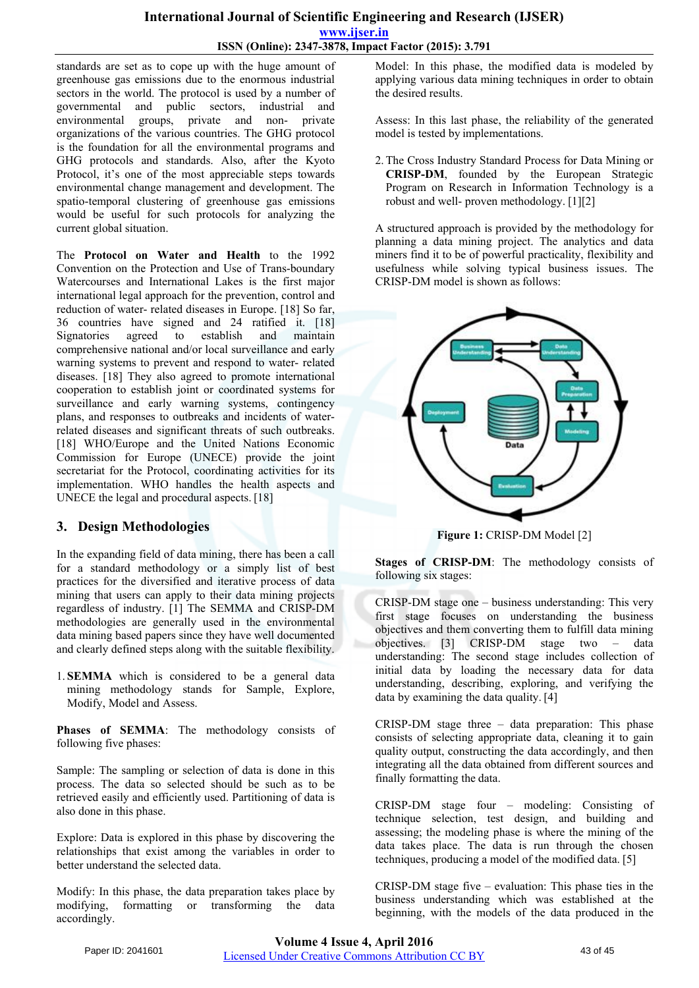#### **International Journal of Scientific Engineering and Research (IJSER) www.ijser.in ISSN (Online): 2347-3878, Impact Factor (2015): 3.791**

standards are set as to cope up with the huge amount of greenhouse gas emissions due to the enormous industrial sectors in the world. The protocol is used by a number of governmental and public sectors, industrial and environmental groups, private and non- private organizations of the various countries. The GHG protocol is the foundation for all the environmental programs and GHG protocols and standards. Also, after the Kyoto Protocol, it's one of the most appreciable steps towards environmental change management and development. The spatio-temporal clustering of greenhouse gas emissions would be useful for such protocols for analyzing the current global situation.

The **Protocol on Water and Health** to the 1992 Convention on the Protection and Use of Trans-boundary Watercourses and International Lakes is the first major international legal approach for the prevention, control and reduction of water- related diseases in Europe. [18] So far, 36 countries have signed and 24 ratified it. [18] Signatories agreed to establish and maintain comprehensive national and/or local surveillance and early warning systems to prevent and respond to water- related diseases. [18] They also agreed to promote international cooperation to establish joint or coordinated systems for surveillance and early warning systems, contingency plans, and responses to outbreaks and incidents of waterrelated diseases and significant threats of such outbreaks. [18] WHO/Europe and the United Nations Economic Commission for Europe (UNECE) provide the joint secretariat for the Protocol, coordinating activities for its implementation. WHO handles the health aspects and UNECE the legal and procedural aspects. [18]

# **3. Design Methodologies**

In the expanding field of data mining, there has been a call for a standard methodology or a simply list of best practices for the diversified and iterative process of data mining that users can apply to their data mining projects regardless of industry. [1] The SEMMA and CRISP-DM methodologies are generally used in the environmental data mining based papers since they have well documented and clearly defined steps along with the suitable flexibility.

1. **SEMMA** which is considered to be a general data mining methodology stands for Sample, Explore, Modify, Model and Assess.

Phases of SEMMA: The methodology consists of following five phases:

Sample: The sampling or selection of data is done in this process. The data so selected should be such as to be retrieved easily and efficiently used. Partitioning of data is also done in this phase.

Explore: Data is explored in this phase by discovering the relationships that exist among the variables in order to better understand the selected data.

Modify: In this phase, the data preparation takes place by modifying, formatting or transforming the data accordingly.

Model: In this phase, the modified data is modeled by applying various data mining techniques in order to obtain the desired results.

Assess: In this last phase, the reliability of the generated model is tested by implementations.

2. The Cross Industry Standard Process for Data Mining or **CRISP-DM**, founded by the European Strategic Program on Research in Information Technology is a robust and well- proven methodology. [1][2]

A structured approach is provided by the methodology for planning a data mining project. The analytics and data miners find it to be of powerful practicality, flexibility and usefulness while solving typical business issues. The CRISP-DM model is shown as follows:



**Figure 1:** CRISP-DM Model [2]

Stages of CRISP-DM: The methodology consists of following six stages:

CRISP-DM stage one – business understanding: This very first stage focuses on understanding the business objectives and them converting them to fulfill data mining objectives. [3] CRISP-DM stage two – data understanding: The second stage includes collection of initial data by loading the necessary data for data understanding, describing, exploring, and verifying the data by examining the data quality. [4]

CRISP-DM stage three – data preparation: This phase consists of selecting appropriate data, cleaning it to gain quality output, constructing the data accordingly, and then integrating all the data obtained from different sources and finally formatting the data.

CRISP-DM stage four – modeling: Consisting of technique selection, test design, and building and assessing; the modeling phase is where the mining of the data takes place. The data is run through the chosen techniques, producing a model of the modified data. [5]

CRISP-DM stage five – evaluation: This phase ties in the business understanding which was established at the beginning, with the models of the data produced in the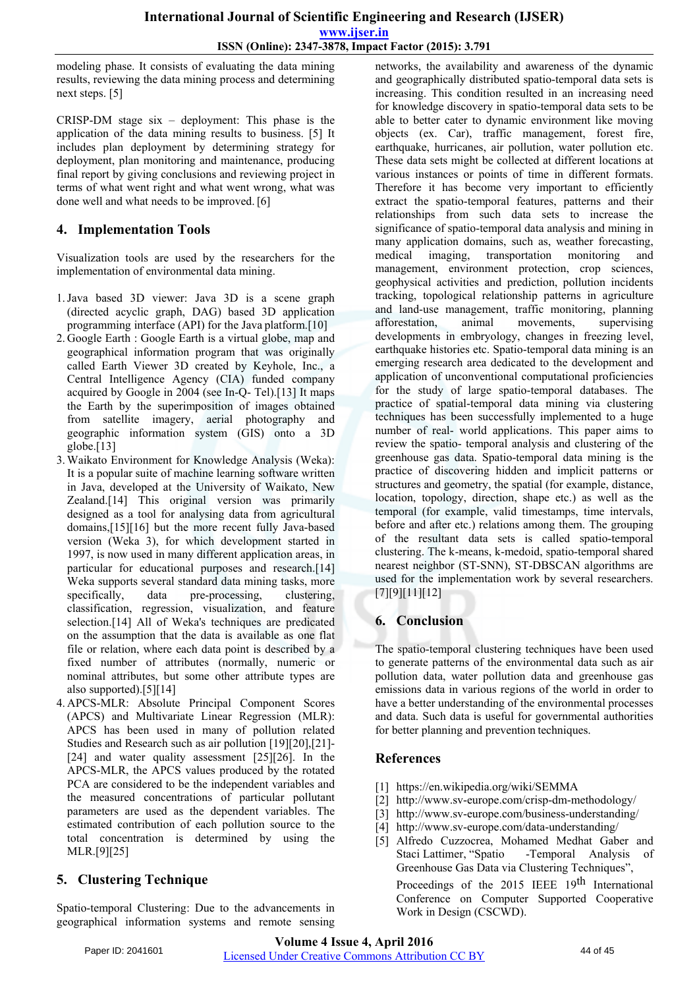modeling phase. It consists of evaluating the data mining results, reviewing the data mining process and determining next steps. [5]

CRISP-DM stage six – deployment: This phase is the application of the data mining results to business. [5] It includes plan deployment by determining strategy for deployment, plan monitoring and maintenance, producing final report by giving conclusions and reviewing project in terms of what went right and what went wrong, what was done well and what needs to be improved. [6]

#### **4. Implementation Tools**

Visualization tools are used by the researchers for the implementation of environmental data mining.

- 1.Java based 3D viewer: Java 3D is a [scene graph](https://en.wikipedia.org/wiki/Scene_graph) [\(directed](https://en.wikipedia.org/wiki/Directed_acyclic_graph) [acyclic graph,](https://en.wikipedia.org/wiki/Directed_acyclic_graph) DAG) based [3D](https://en.wikipedia.org/wiki/3D_computer_graphics) [application](https://en.wikipedia.org/wiki/Application_programming_interface)  [programming](https://en.wikipedia.org/wiki/Application_programming_interface) [interface](https://en.wikipedia.org/wiki/Application_programming_interface) (API) for the [Java platform.\[](https://en.wikipedia.org/wiki/Java_(software_platform))10]
- 2. Google Earth : Google Earth is a [virtual](https://en.wikipedia.org/wiki/Virtual_globe) [globe,](https://en.wikipedia.org/wiki/Virtual_globe) [map](https://en.wikipedia.org/wiki/Map) and [geographical](https://en.wikipedia.org/wiki/Geography) information program that was originally called Earth Viewer 3D created by [Keyhole, Inc.,](https://en.wikipedia.org/wiki/Keyhole%2C_Inc) a [Central Intelligence Agency](https://en.wikipedia.org/wiki/Central_Intelligence_Agency) (CIA) funded company acquired by [Google](https://en.wikipedia.org/wiki/Google) in 2004 (see [In-Q-](https://en.wikipedia.org/wiki/In-Q-Tel) [Tel\)](https://en.wikipedia.org/wiki/In-Q-Tel).[13] It maps the Earth by the [superimposition](https://en.wikipedia.org/wiki/Superimposition) of images obtained from [satellite imagery,](https://en.wikipedia.org/wiki/Satellite_imagery) [aerial](https://en.wikipedia.org/wiki/Aerial_photography) [photography](https://en.wikipedia.org/wiki/Aerial_photography) and [geographic information system](https://en.wikipedia.org/wiki/Geographic_information_system) (GIS) onto a [3D](https://en.wikipedia.org/wiki/3D_computer_graphics) globe.[13]
- 3. Waikato Environment for Knowledge Analysis (Weka): It is a popular suite of [machine learning s](https://en.wikipedia.org/wiki/Machine_learning)oftware written in [Java,](https://en.wikipedia.org/wiki/Java_(programming_language)) developed at the [University of Waikato,](https://en.wikipedia.org/wiki/University_of_Waikato) [New](https://en.wikipedia.org/wiki/New_Zealand) [Zealand.\[](https://en.wikipedia.org/wiki/New_Zealand)14] This original version was primarily designed as a tool for analysing data from agricultural domains,[15][16] but the more recent fully [Java-](https://en.wikipedia.org/wiki/Java_(programming_language))based version (Weka 3), for which development started in 1997, is now used in many different application areas, in particular for educational purposes and research.[14] Weka supports several standard [data mining](https://en.wikipedia.org/wiki/Data_mining) tasks, more specifically, data [pre-processing,](https://en.wikipedia.org/wiki/Preprocessing) [clustering,](https://en.wikipedia.org/wiki/Data_clustering) [classification,](https://en.wikipedia.org/wiki/Statistical_classification) [regression,](https://en.wikipedia.org/wiki/Regression_analysis) visualization, and [feature](https://en.wikipedia.org/wiki/Feature_selection) [selection.\[](https://en.wikipedia.org/wiki/Feature_selection)14] All of Weka's techniques are predicated on the assumption that the data is available as one flat file or relation, where each data point is described by a fixed number of attributes (normally, numeric or nominal attributes, but some other attribute types are also supported).[5][14]
- 4. APCS-MLR: Absolute Principal Component Scores (APCS) and Multivariate Linear Regression (MLR): APCS has been used in many of pollution related Studies and Research such as air pollution [19][20],[21]- [24] and water quality assessment [25][26]. In the APCS-MLR, the APCS values produced by the rotated PCA are considered to be the independent variables and the measured concentrations of particular pollutant parameters are used as the dependent variables. The estimated contribution of each pollution source to the total concentration is determined by using the MLR.[9][25]

# **5. Clustering Technique**

Spatio-temporal Clustering: Due to the advancements in geographical information systems and remote sensing

networks, the availability and awareness of the dynamic and geographically distributed spatio-temporal data sets is increasing. This condition resulted in an increasing need for knowledge discovery in spatio-temporal data sets to be able to better cater to dynamic environment like moving objects (ex. Car), traffic management, forest fire, earthquake, hurricanes, air pollution, water pollution etc. These data sets might be collected at different locations at various instances or points of time in different formats. Therefore it has become very important to efficiently extract the spatio-temporal features, patterns and their relationships from such data sets to increase the significance of spatio-temporal data analysis and mining in many application domains, such as, weather forecasting, medical imaging, transportation monitoring and management, environment protection, crop sciences, geophysical activities and prediction, pollution incidents tracking, topological relationship patterns in agriculture and land-use management, traffic monitoring, planning afforestation, animal movements, supervising developments in embryology, changes in freezing level, earthquake histories etc. Spatio-temporal data mining is an emerging research area dedicated to the development and application of unconventional computational proficiencies for the study of large spatio-temporal databases. The practice of spatial-temporal data mining via clustering techniques has been successfully implemented to a huge number of real- world applications. This paper aims to review the spatio- temporal analysis and clustering of the greenhouse gas data. Spatio-temporal data mining is the practice of discovering hidden and implicit patterns or structures and geometry, the spatial (for example, distance, location, topology, direction, shape etc.) as well as the temporal (for example, valid timestamps, time intervals, before and after etc.) relations among them. The grouping of the resultant data sets is called spatio-temporal clustering. The k-means, k-medoid, spatio-temporal shared nearest neighbor (ST-SNN), ST-DBSCAN algorithms are used for the implementation work by several researchers. [7][9][11][12]

# **6. Conclusion**

The spatio-temporal clustering techniques have been used to generate patterns of the environmental data such as air pollution data, water pollution data and greenhouse gas emissions data in various regions of the world in order to have a better understanding of the environmental processes and data. Such data is useful for governmental authorities for better planning and prevention techniques.

# **References**

- [1] https://en.wikipedia.org/wiki/SEMMA
- [2] http://www.sv-europe.com/crisp-dm-methodology/
- [3] <http://www.sv-europe.com/business-understanding/>
- [4] <http://www.sv-europe.com/data-understanding/>
- [5] Alfredo Cuzzocrea, Mohamed Medhat Gaber and Staci Lattimer, "Spatio -Temporal Analysis of Greenhouse Gas Data via Clustering Techniques",

Proceedings of the 2015 IEEE 19<sup>th</sup> International Conference on Computer Supported Cooperative Work in Design (CSCWD).